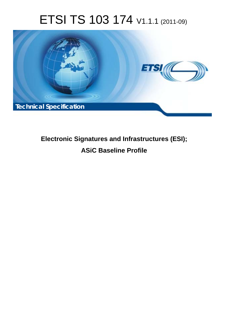# ETSI TS 103 174 V1.1.1 (2011-09)



# **Electronic Signatures and Infrastructures (ESI); ASiC Baseline Profile**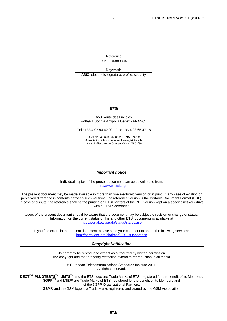Reference DTS/ESI-000094

Keywords ASiC, electronic signature, profile, security

#### *ETSI*

#### 650 Route des Lucioles F-06921 Sophia Antipolis Cedex - FRANCE

Tel.: +33 4 92 94 42 00 Fax: +33 4 93 65 47 16

Siret N° 348 623 562 00017 - NAF 742 C Association à but non lucratif enregistrée à la Sous-Préfecture de Grasse (06) N° 7803/88

#### *Important notice*

Individual copies of the present document can be downloaded from: [http://www.etsi.org](http://www.etsi.org/)

The present document may be made available in more than one electronic version or in print. In any case of existing or perceived difference in contents between such versions, the reference version is the Portable Document Format (PDF). In case of dispute, the reference shall be the printing on ETSI printers of the PDF version kept on a specific network drive within ETSI Secretariat.

Users of the present document should be aware that the document may be subject to revision or change of status. Information on the current status of this and other ETSI documents is available at <http://portal.etsi.org/tb/status/status.asp>

If you find errors in the present document, please send your comment to one of the following services: [http://portal.etsi.org/chaircor/ETSI\\_support.asp](http://portal.etsi.org/chaircor/ETSI_support.asp)

#### *Copyright Notification*

No part may be reproduced except as authorized by written permission. The copyright and the foregoing restriction extend to reproduction in all media.

> © European Telecommunications Standards Institute 2011. All rights reserved.

DECT<sup>™</sup>, PLUGTESTS<sup>™</sup>, UMTS<sup>™</sup> and the ETSI logo are Trade Marks of ETSI registered for the benefit of its Members. **3GPP**TM and **LTE**™ are Trade Marks of ETSI registered for the benefit of its Members and of the 3GPP Organizational Partners.

**GSM**® and the GSM logo are Trade Marks registered and owned by the GSM Association.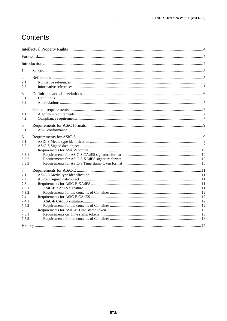# Contents

| 1              |  |
|----------------|--|
| 2              |  |
| 2.1<br>2.2     |  |
| 3              |  |
| 3.1<br>3.2     |  |
| $\overline{4}$ |  |
| 4.1            |  |
| 4.2            |  |
| 5<br>5.1       |  |
| 6              |  |
| 6.1            |  |
| 6.2            |  |
| 6.3            |  |
| 6.3.1          |  |
| 6.3.2          |  |
| 6.3.3          |  |
| 7              |  |
| 7.1            |  |
| 7.2            |  |
| 7.3            |  |
| 7.3.1          |  |
| 7.3.2          |  |
| 7.4            |  |
| 7.4.1          |  |
| 7.4.2          |  |
| 7.5            |  |
| 7.5.1          |  |
| 7.5.2          |  |
|                |  |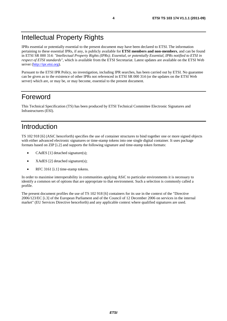# Intellectual Property Rights

IPRs essential or potentially essential to the present document may have been declared to ETSI. The information pertaining to these essential IPRs, if any, is publicly available for **ETSI members and non-members**, and can be found in ETSI SR 000 314: *"Intellectual Property Rights (IPRs); Essential, or potentially Essential, IPRs notified to ETSI in respect of ETSI standards"*, which is available from the ETSI Secretariat. Latest updates are available on the ETSI Web server ([http://ipr.etsi.org\)](http://webapp.etsi.org/IPR/home.asp).

Pursuant to the ETSI IPR Policy, no investigation, including IPR searches, has been carried out by ETSI. No guarantee can be given as to the existence of other IPRs not referenced in ETSI SR 000 314 (or the updates on the ETSI Web server) which are, or may be, or may become, essential to the present document.

### Foreword

This Technical Specification (TS) has been produced by ETSI Technical Committee Electronic Signatures and Infrastructures (ESI).

### Introduction

TS 102 918 [6] (ASiC henceforth) specifies the use of container structures to bind together one or more signed objects with either advanced electronic signatures or time-stamp tokens into one single digital container. It uses package formats based on ZIP [i.2] and supports the following signature and time-stamp token formats:

- CAdES [1] detached signature(s);
- XAdES [2] detached signature(s);
- RFC 3161 [i.1] time-stamp tokens.

In order to maximise interoperability in communities applying ASiC to particular environments it is necessary to identify a common set of options that are appropriate to that environment. Such a selection is commonly called a profile.

The present document profiles the use of TS 102 918 [6] containers for its use in the context of the "Directive 2006/123/EC [i.3] of the European Parliament and of the Council of 12 December 2006 on services in the internal market" (EU Services Directive henceforth) and any applicable context where qualified signatures are used.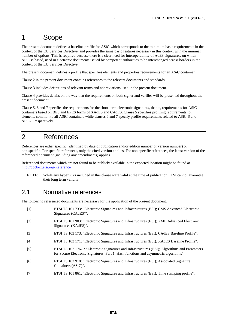### 1 Scope

The present document defines a baseline profile for ASiC which corresponds to the minimum basic requirements in the context of the EU Services Directive, and provides the same basic features necessary in this context with the minimal number of options. This is required because there is a clear need for interoperability of AdES signatures, on which ASiC is based, used in electronic documents issued by competent authorities to be interchanged across borders in the context of the EU Services Directive.

The present document defines a profile that specifies elements and properties requirements for an ASiC container.

Clause 2 in the present document contains references to the relevant documents and standards.

Clause 3 includes definitions of relevant terms and abbreviations used in the present document.

Clause 4 provides details on the way that the requirements on both signer and verifier will be presented throughout the present document.

Clause 5, 6 and 7 specifies the requirements for the short-term electronic signatures, that is, requirements for ASiC containers based on BES and EPES forms of XAdES and CAdES. Clause 5 specifies profiling requirements for elements common to all ASiC containers while clauses 6 and 7 specify profile requirements related to ASiC-S and ASiC-E respectively.

### 2 References

References are either specific (identified by date of publication and/or edition number or version number) or non-specific. For specific references, only the cited version applies. For non-specific references, the latest version of the referenced document (including any amendments) applies.

Referenced documents which are not found to be publicly available in the expected location might be found at [http://docbox.etsi.org/Reference.](http://docbox.etsi.org/Reference)

NOTE: While any hyperlinks included in this clause were valid at the time of publication ETSI cannot guarantee their long term validity.

### 2.1 Normative references

The following referenced documents are necessary for the application of the present document.

- [1] ETSI TS 101 733: "Electronic Signatures and Infrastructures (ESI); CMS Advanced Electronic Signatures (CAdES)". [2] ETSI TS 101 903: "Electronic Signatures and Infrastructures (ESI); XML Advanced Electronic Signatures (XAdES)". [3] ETSI TS 103 173: "Electronic Signatures and Infrastructures (ESI); CAdES Baseline Profile". [4] ETSI TS 103 171: "Electronic Signatures and Infrastructures (ESI); XAdES Baseline Profile".
- [5] ETSI TS 102 176-1: "Electronic Signatures and Infrastructures (ESI); Algorithms and Parameters for Secure Electronic Signatures; Part 1: Hash functions and asymmetric algorithms".
- [6] ETSI TS 102 918: "Electronic Signatures and Infrastructures (ESI); Associated Signature Containers (ASiC)".
- [7] ETSI TS 101 861: "Electronic Signatures and Infrastructures (ESI); Time stamping profile".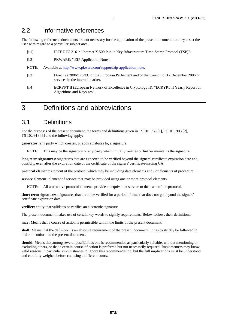### 2.2 Informative references

The following referenced documents are not necessary for the application of the present document but they assist the user with regard to a particular subject area.

- [i.1] IETF RFC 3161: "Internet X.509 Public Key Infrastructure Time-Stamp Protocol (TSP)".
- [i.2] PKWARE: ".ZIP Application Note".
- NOTE: Available at [http://www.pkware.com/support/zip-application-note.](http://www.pkware.com/support/zip-application-note)
- [i.3] Directive 2006/123/EC of the European Parliament and of the Council of 12 December 2006 on services in the internal market.
- [i.4] ECRYPT II (European Network of Excellence in Cryptology II): "ECRYPT II Yearly Report on Algorithms and Keysizes".

### 3 Definitions and abbreviations

### 3.1 Definitions

For the purposes of the present document, the terms and definitions given in TS 101 733 [1], TS 101 903 [2], TS 102 918 [6] and the following apply:

**generator:** any party which creates, or adds attributes to, a signature

NOTE: This may be the signatory or any party which initially verifies or further maintains the signature.

long term signatures: signatures that are expected to be verified beyond the signers' certificate expiration date and, possibly, even after the expiration date of the certificate of the signers' certificate-issuing CA

**protocol element:** element of the protocol which may be including data elements and / or elements of procedure

**service element:** element of service that may be provided using one or more protocol elements

NOTE: All alternative protocol elements provide an equivalent service to the users of the protocol.

**short term signatures:** signatures that are to be verified for a period of time that does not go beyond the signers' certificate expiration date

**verifier:** entity that validates or verifies an electronic signature

The present document makes use of certain key words to signify requirements. Below follows their definitions:

**may:** Means that a course of action is permissible within the limits of the present document.

**shall:** Means that the definition is an absolute requirement of the present document. It has to strictly be followed in order to conform to the present document.

**should:** Means that among several possibilities one is recommended as particularly suitable, without mentioning or excluding others, or that a certain course of action is preferred but not necessarily required. Implementers may know valid reasons in particular circumstances to ignore this recommendation, but the full implications must be understood and carefully weighed before choosing a different course.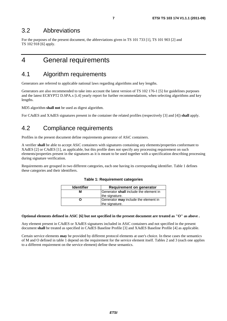### 3.2 Abbreviations

For the purposes of the present document, the abbreviations given in TS 101 733 [1], TS 101 903 [2] and TS 102 918 [6] apply.

### 4 General requirements

### 4.1 Algorithm requirements

Generators are referred to applicable national laws regarding algorithms and key lengths.

Generators are also recommended to take into account the latest version of TS 102 176-1 [5] for guidelines purposes and the latest ECRYPT2 D.SPA.x [i.4] yearly report for further recommendations, when selecting algorithms and key lengths.

MD5 algorithm **shall not** be used as digest algorithm.

For CAdES and XAdES signatures present in the container the related profiles (respectively [3] and [4]) **shall** apply.

### 4.2 Compliance requirements

Profiles in the present document define requirements generator of ASiC containers.

A verifier **shall** be able to accept ASiC containers with signatures containing any elements/properties conformant to XAdES [2] or CAdES [1], as applicable, but this profile does not specify any processing requirement on such elements/properties present in the signatures as it is meant to be used together with a specification describing processing during signature verification.

Requirements are grouped in two different categories, each one having its corresponding identifier. Table 1 defines these categories and their identifiers.

| <b>Identifier</b> | <b>Requirement on generator</b>        |  |
|-------------------|----------------------------------------|--|
| м                 | Generator shall include the element in |  |
|                   | the signature.                         |  |
|                   | Generator may include the element in   |  |
|                   | the signature.                         |  |

#### **Table 1: Requirement categories**

#### **Optional elements defined in ASiC [6] but not specified in the present document are treated as "O" as above .**

Any element present in CAdES or XAdES signatures included in ASiC containers and not specified in the present document **shall** be treated as specified in CAdES Baseline Profile [3] and XAdES Baseline Profile [4] as applicable.

Certain service elements **may** be provided by different protocol elements at user's choice. In these cases the semantics of M and O defined in table 1 depend on the requirement for the service element itself. Tables 2 and 3 (each one applies to a different requirement on the service element) define these semantics.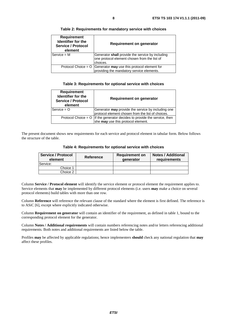| ۰.<br>v<br>× |
|--------------|
|--------------|

| <b>Requirement</b><br>Identifier for the<br><b>Service / Protocol</b><br>element | Requirement on generator                                                                         |
|----------------------------------------------------------------------------------|--------------------------------------------------------------------------------------------------|
| $Service = M$                                                                    | Generator shall provide the service by including<br>one protocol element chosen from the list of |
|                                                                                  | choices.                                                                                         |
|                                                                                  | Protocol Choice = $O$ Generator may use this protocol element for                                |
|                                                                                  | providing the mandatory service elements.                                                        |

**Table 2: Requirements for mandatory service with choices** 

#### **Table 3: Requirements for optional service with choices**

| <b>Requirement</b><br>Identifier for the<br><b>Service / Protocol</b><br>element | Requirement on generator                                                      |  |  |
|----------------------------------------------------------------------------------|-------------------------------------------------------------------------------|--|--|
| $Service = O$                                                                    | Generator may provide the service by including one                            |  |  |
|                                                                                  | protocol element chosen from the list of choices.                             |  |  |
|                                                                                  | Protocol Choice = $O$   If the generator decides to provide the service, then |  |  |
|                                                                                  | she may use this protocol element.                                            |  |  |

The present document shows new requirements for each service and protocol element in tabular form. Below follows the structure of the table.

| Table 4: Requirements for optional service with choices |  |  |
|---------------------------------------------------------|--|--|
|---------------------------------------------------------|--|--|

| <b>Service / Protocol</b><br>element | Reference | <b>Requirement on</b><br>generator | <b>Notes / Additional</b><br>requirements |
|--------------------------------------|-----------|------------------------------------|-------------------------------------------|
| Service:                             |           |                                    |                                           |
| Choice 1                             |           |                                    |                                           |
| Choice 2                             |           |                                    |                                           |

Column **Service / Protocol element** will identify the service element or protocol element the requirement applies to. Service elements that **may** be implemented by different protocol elements (i.e. users **may** make a choice on several protocol elements) build tables with more than one row.

Column **Reference** will reference the relevant clause of the standard where the element is first defined. The reference is to ASiC [6], except where explicitly indicated otherwise.

Column **Requirement on generator** will contain an identifier of the requirement, as defined in table 1, bound to the corresponding protocol element for the generator.

Column **Notes / Additional requirements** will contain numbers referencing notes and/or letters referencing additional requirements. Both notes and additional requirements are listed below the table.

Profiles **may** be affected by applicable regulations; hence implementers **should** check any national regulation that **may** affect these profiles.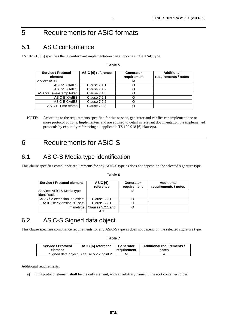# 5 Requirements for ASiC formats

### 5.1 ASiC conformance

TS 102 918 [6] specifies that a conformant implementation can support a single ASiC type.

#### **Table 5**

| <b>Service / Protocol</b><br>element | ASiC [6] reference  | <b>Generator</b><br>requirement | Additional<br>requirements / notes |
|--------------------------------------|---------------------|---------------------------------|------------------------------------|
| Service: ASiC                        |                     | M                               |                                    |
| ASiC-S CAdES                         | <b>Clause 7.1.1</b> |                                 |                                    |
| ASiC-S XAdES                         | Clause 7.1.2        |                                 |                                    |
| ASiC-S Time-stamp token              | <b>Clause 7.1.3</b> |                                 |                                    |
| ASIC-E XAdES                         | Clause 7.2.1        |                                 |                                    |
| ASiC-E CAdES                         | Clause 7.2.2        |                                 |                                    |
| ASiC-E Time-stamp                    | Clause 7.2.3        |                                 |                                    |

NOTE: According to the requirements specified for this service, generator and verifier can implement one or more protocol options. Implementers and are advised to detail in relevant documentation the implemented protocols by explicitly referencing all applicable TS 102 918 [6] clause(s).

# 6 Requirements for ASiC-S

### 6.1 ASiC-S Media type identification

This clause specifies compliance requirements for any ASiC-S type as does not depend on the selected signature type.

| Service / Protocol element                    | ASiC [6]<br>reference | Generator<br>requirement | <b>Additional</b><br>requirements / notes |
|-----------------------------------------------|-----------------------|--------------------------|-------------------------------------------|
| Service: ASiC-S Media type<br>lidentification |                       | М                        |                                           |
| ASiC file extension is ".asics"               | Clause 5.2.1          |                          |                                           |
| ASiC file extension is ".scs"                 | <b>Clause 5.2.1</b>   |                          |                                           |
| mimetype                                      | Clauses 5.2.1 and     |                          |                                           |

#### **Table 6**

### 6.2 ASiC-S Signed data object

This clause specifies compliance requirements for any ASiC-S type as does not depend on the selected signature type.

#### **Table 7**

| Service / Protocol | ASiC [6] reference                        | Generator   | Additional requirements / |
|--------------------|-------------------------------------------|-------------|---------------------------|
| element            |                                           | reauirement | notes                     |
|                    | Signed data object   Clause 5.2.2 point 2 | м           |                           |

Additional requirements:

a) This protocol element **shall** be the only element, with an arbitrary name, in the root container folder.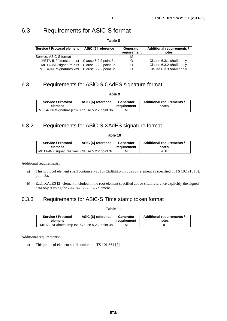### 6.3 Requirements for ASiC-S format

#### **Table 8**

| Service / Protocol element | ASiC [6] reference    | Generator<br>requirement | <b>Additional requirements /</b><br>notes |
|----------------------------|-----------------------|--------------------------|-------------------------------------------|
| lService: ASiC-S format    |                       | м                        |                                           |
| META-INF/timestamp.tst     | Clause 5.2.2 point 3a |                          | Clause 6.3.1 shall apply                  |
| META-INF/signature.p7s     | Clause 5.2.2 point 3b |                          | Clause 6.3.2 shall apply                  |
| META-INF/signatures.xml    | Clause 5.2.2 point 3c |                          | Clause 6.3.3 shall apply                  |

### 6.3.1 Requirements for ASiC-S CAdES signature format

**Table 9** 

| Service / Protocol                           | ASiC [6] reference | Generator   | Additional requirements / |
|----------------------------------------------|--------------------|-------------|---------------------------|
| element                                      |                    | requirement | notes                     |
| META-INF/signature.p7m Clause 5.2.2 point 3b |                    | м           |                           |

### 6.3.2 Requirements for ASiC-S XAdES signature format

#### **Table 10**

| Service / Protocol                            | ASiC [6] reference | Generator   | Additional requirements / |
|-----------------------------------------------|--------------------|-------------|---------------------------|
| element                                       |                    | requirement | notes                     |
| META-INF/signatures.xml Clause 5.2.2 point 3c |                    | м           | a. b                      |

Additional requirements:

- a) This protocol element **shall** contain a <asic:XAdESSignatures> element as specified in TS 102 918 [6], point 3a.
- b) Each XAdES [2] element included in the root element specified above **shall** reference explicitly the signed data object using the <ds:Reference> element.

### 6.3.3 Requirements for ASiC-S Time stamp token format

**Table 11** 

| Service / Protocol                             | <b>ASiC [6] reference</b> | Generator   | Additional requirements / |
|------------------------------------------------|---------------------------|-------------|---------------------------|
| element                                        |                           | requirement | notes                     |
| META-INF/timestamp.tst   Clause 5.2.2 point 3a |                           | м           |                           |

Additional requirements:

a) This protocol element **shall** conform to TS 101 861 [7].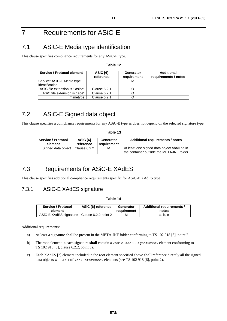# 7 Requirements for ASiC-E

# 7.1 ASiC-E Media type identification

This clause specifies compliance requirements for any ASiC-E type.

#### **Table 12**

| Service / Protocol element      | ASiC [6]<br>reference | Generator<br>requirement | Additional<br>requirements / notes |
|---------------------------------|-----------------------|--------------------------|------------------------------------|
| Service: ASiC-E Media type      |                       |                          |                                    |
| lidentification                 |                       |                          |                                    |
| ASiC file extension is ".asice" | Clause 6.2.1          |                          |                                    |
| ASiC file extension is ".sce"   | Clause 6.2.1          |                          |                                    |
| mimetype                        | Clause 6.2.1          |                          |                                    |

### 7.2 ASiC-E Signed data object

This clause specifies a compliance requirements for any ASiC-E type as does not depend on the selected signature type.

#### **Table 13**

| <b>Service / Protocol</b>         | ASiC [6]  | Generator   | Additional requirements / notes                                                          |
|-----------------------------------|-----------|-------------|------------------------------------------------------------------------------------------|
| element                           | reference | requirement |                                                                                          |
| Signed data object   Clause 6.2.2 |           | м           | At least one signed data object shall be in<br>the container outside the META-INF folder |

### 7.3 Requirements for ASiC-E XAdES

This clause specifies additional compliance requirements specific for ASiC-E XAdES type.

### 7.3.1 ASiC-E XAdES signature

#### **Table 14**

| Service / Protocol                            | ASiC [6] reference | Generator   | Additional requirements / |
|-----------------------------------------------|--------------------|-------------|---------------------------|
| element                                       |                    | reauirement | notes                     |
| ASiC-E XAdES signature   Clause 6.2.2 point 2 |                    | М           | a. b. c                   |

Additional requirements:

- a) At least a signature **shall** be present in the META-INF folder conforming to TS 102 918 [6], point 2.
- b) The root element in each signature **shall** contain a <asic:XAdESSignatures> element conforming to TS 102 918 [6], clause 6.2.2, point 3a.
- c) Each XAdES [2] element included in the root element specified above **shall** reference directly all the signed data objects with a set of <ds:Reference> elements (see TS 102 918 [6], point 2).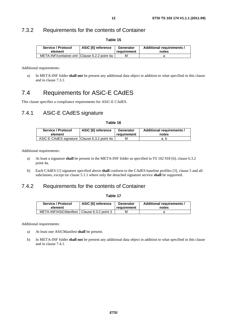### 7.3.2 Requirements for the contents of Container

| Service / Protocol                           | ASiC [6] reference | Generator   | Additional requirements / |
|----------------------------------------------|--------------------|-------------|---------------------------|
| element                                      |                    | requirement | notes                     |
| META-INF/container.xml Clause 6.2.2 point 4a |                    | м           |                           |

**Table 15** 

Additional requirements:

a) In META-INF folder **shall not** be present any additional data object in addition to what specified in this clause and in clause 7.3.1.

### 7.4 Requirements for ASiC-E CAdES

This clause specifies a compliance requirements for ASiC-E CAdES.

#### 7.4.1 ASiC-E CAdES signature

**Table 16** 

| Service / Protocol                           | ASiC [6] reference | Generator   | Additional requirements / |
|----------------------------------------------|--------------------|-------------|---------------------------|
| element                                      |                    | requirement | notes                     |
| ASiC-E CAdES signature Clause 6.3.2 point 4a |                    | м           | a. p                      |

Additional requirements:

- a) At least a signature **shall** be present in the META-INF folder as specified in TS 102 918 [6], clause 6.3.2 point 4a.
- b) Each CAdES [1] signature specified above **shall** conform to the CAdES baseline profiles [3], clause 5 and all subclauses, except tor clause 5.1.1 where only the detached signature service **shall** be supported.

### 7.4.2 Requirements for the contents of Container

#### **Table 17**

| Service / Protocol                           | ASiC [6] reference | Generator   | Additional requirements / |
|----------------------------------------------|--------------------|-------------|---------------------------|
| element                                      |                    | reauirement | notes                     |
| META-INF/ASiCManifest   Clause 6.3.2 point 3 |                    | М           |                           |

Additional requirements:

- a) At least one ASiCManifest **shall** be present.
- b) In META-INF folder **shall not** be present any additional data object in addition to what specified in this clause and in clause 7.4.1.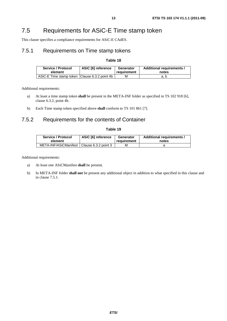### 7.5 Requirements for ASiC-E Time stamp token

This clause specifies a compliance requirements for ASiC-E CAdES.

### 7.5.1 Requirements on Time stamp tokens

#### **Table 18**

| Service / Protocol                            | ASiC [6] reference | Generator   | Additional requirements / |
|-----------------------------------------------|--------------------|-------------|---------------------------|
| element                                       |                    | requirement | notes                     |
| ASiC-E Time stamp token Clause 6.3.2 point 4b |                    | М           | a. b                      |

Additional requirements:

- a) At least a time stamp token **shall** be present in the META-INF folder as specified in TS 102 918 [6], clause 6.3.2, point 4b.
- b) Each Time stamp token specified above **shall** conform to TS 101 861 [7].

### 7.5.2 Requirements for the contents of Container

#### **Table 19**

| Service / Protocol                           | ASiC [6] reference | Generator   | Additional requirements / |
|----------------------------------------------|--------------------|-------------|---------------------------|
| element                                      |                    | requirement | notes                     |
| META-INF/ASiCManifest   Clause 6.3.2 point 3 |                    | м           |                           |

Additional requirements:

- a) At least one ASiCManifest **shall** be present.
- b) In META-INF folder **shall not** be present any additional object in addition to what specified in this clause and in clause 7.5.1.